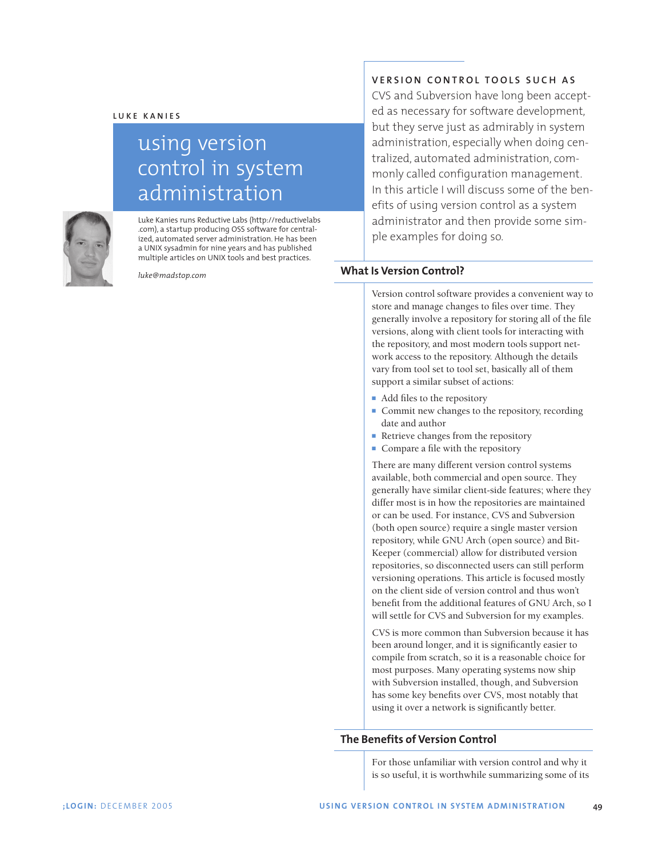

# using version control in system administration



Luke Kanies runs Reductive Labs (http://reductivelabs .com), a startup producing OSS software for centralized, automated server administration. He has been a UNIX sysadmin for nine years and has published multiple articles on UNIX tools and best practices.

*luke@madstop.com*

## **VERSION CONTROL TOOLS SUCH AS**

CVS and Subversion have long been accepted as necessary for software development, but they serve just as admirably in system administration, especially when doing centralized, automated administration, commonly called configuration management. In this article I will discuss some of the benefits of using version control as a system administrator and then provide some simple examples for doing so.

## **What Is Version Control?**

Version control software provides a convenient way to store and manage changes to files over time. They generally involve a repository for storing all of the file versions, along with client tools for interacting with the repository, and most modern tools support network access to the repository. Although the details vary from tool set to tool set, basically all of them support a similar subset of actions:

- Add files to the repository
- Commit new changes to the repository, recording date and author
- Retrieve changes from the repository
- **■** Compare a file with the repository

There are many different version control systems available, both commercial and open source. They generally have similar client-side features; where they differ most is in how the repositories are maintained or can be used. For instance, CVS and Subversion (both open source) require a single master version repository, while GNU Arch (open source) and Bit-Keeper (commercial) allow for distributed version repositories, so disconnected users can still perform versioning operations. This article is focused mostly on the client side of version control and thus won't benefit from the additional features of GNU Arch, so I will settle for CVS and Subversion for my examples.

CVS is more common than Subversion because it has been around longer, and it is significantly easier to compile from scratch, so it is a reasonable choice for most purposes. Many operating systems now ship with Subversion installed, though, and Subversion has some key benefits over CVS, most notably that using it over a network is significantly better.

## **The Benefits of Version Control**

For those unfamiliar with version control and why it is so useful, it is worthwhile summarizing some of its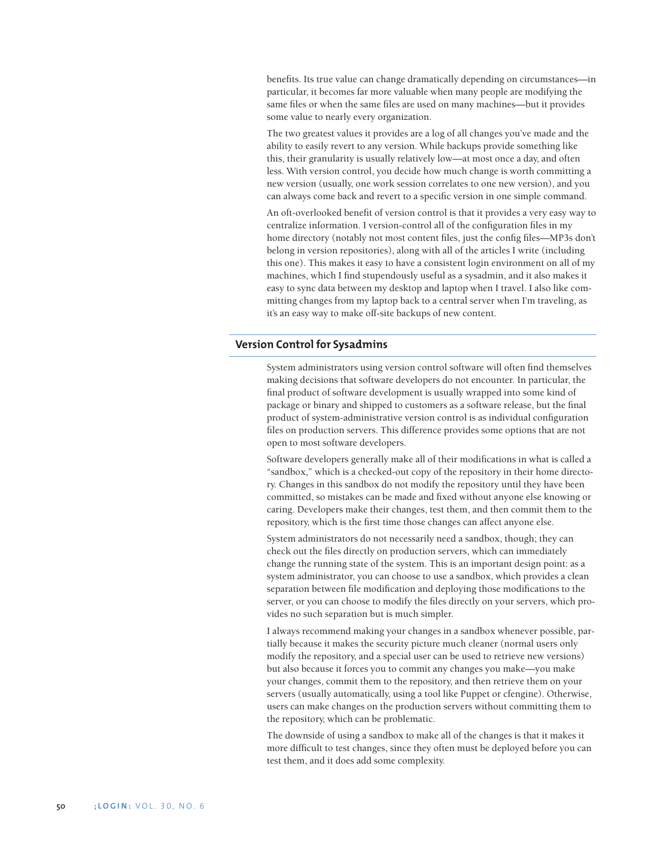benefits. Its true value can change dramatically depending on circumstances—in particular, it becomes far more valuable when many people are modifying the same files or when the same files are used on many machines—but it provides some value to nearly every organization.

The two greatest values it provides are a log of all changes you've made and the ability to easily revert to any version. While backups provide something like this, their granularity is usually relatively low—at most once a day, and often less. With version control, you decide how much change is worth committing a new version (usually, one work session correlates to one new version), and you can always come back and revert to a specific version in one simple command.

An oft-overlooked benefit of version control is that it provides a very easy way to centralize information. I version-control all of the configuration files in my home directory (notably not most content files, just the config files—MP3s don't belong in version repositories), along with all of the articles I write (including this one). This makes it easy to have a consistent login environment on all of my machines, which I find stupendously useful as a sysadmin, and it also makes it easy to sync data between my desktop and laptop when I travel. I also like committing changes from my laptop back to a central server when I'm traveling, as it's an easy way to make off-site backups of new content.

#### **Version Control for Sysadmins**

System administrators using version control software will often find themselves making decisions that software developers do not encounter. In particular, the final product of software development is usually wrapped into some kind of package or binary and shipped to customers as a software release, but the final product of system-administrative version control is as individual configuration files on production servers. This difference provides some options that are not open to most software developers.

Software developers generally make all of their modifications in what is called a "sandbox," which is a checked-out copy of the repository in their home directory. Changes in this sandbox do not modify the repository until they have been committed, so mistakes can be made and fixed without anyone else knowing or caring. Developers make their changes, test them, and then commit them to the repository, which is the first time those changes can affect anyone else.

System administrators do not necessarily need a sandbox, though; they can check out the files directly on production servers, which can immediately change the running state of the system. This is an important design point: as a system administrator, you can choose to use a sandbox, which provides a clean separation between file modification and deploying those modifications to the server, or you can choose to modify the files directly on your servers, which provides no such separation but is much simpler.

I always recommend making your changes in a sandbox whenever possible, partially because it makes the security picture much cleaner (normal users only modify the repository, and a special user can be used to retrieve new versions) but also because it forces you to commit any changes you make—you make your changes, commit them to the repository, and then retrieve them on your servers (usually automatically, using a tool like Puppet or cfengine). Otherwise, users can make changes on the production servers without committing them to the repository, which can be problematic.

The downside of using a sandbox to make all of the changes is that it makes it more difficult to test changes, since they often must be deployed before you can test them, and it does add some complexity.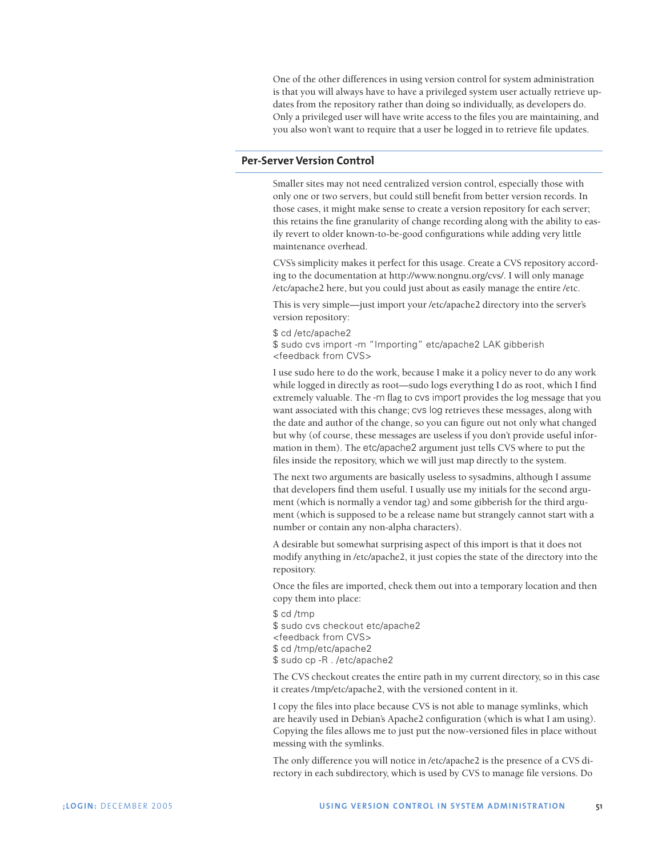One of the other differences in using version control for system administration is that you will always have to have a privileged system user actually retrieve updates from the repository rather than doing so individually, as developers do. Only a privileged user will have write access to the files you are maintaining, and you also won't want to require that a user be logged in to retrieve file updates.

#### **Per-Server Version Control**

Smaller sites may not need centralized version control, especially those with only one or two servers, but could still benefit from better version records. In those cases, it might make sense to create a version repository for each server; this retains the fine granularity of change recording along with the ability to easily revert to older known-to-be-good configurations while adding very little maintenance overhead.

CVS's simplicity makes it perfect for this usage. Create a CVS repository according to the documentation at http://www.nongnu.org/cvs/. I will only manage /etc/apache2 here, but you could just about as easily manage the entire /etc.

This is very simple—just import your /etc/apache2 directory into the server's version repository:

\$ cd /etc/apache2 \$ sudo cvs import -m "Importing" etc/apache2 LAK gibberish <feedback from CVS>

I use sudo here to do the work, because I make it a policy never to do any work while logged in directly as root—sudo logs everything I do as root, which I find extremely valuable. The -m flag to cvs import provides the log message that you want associated with this change; cvs log retrieves these messages, along with the date and author of the change, so you can figure out not only what changed but why (of course, these messages are useless if you don't provide useful information in them). The etc/apache2 argument just tells CVS where to put the files inside the repository, which we will just map directly to the system.

The next two arguments are basically useless to sysadmins, although I assume that developers find them useful. I usually use my initials for the second argument (which is normally a vendor tag) and some gibberish for the third argument (which is supposed to be a release name but strangely cannot start with a number or contain any non-alpha characters).

A desirable but somewhat surprising aspect of this import is that it does not modify anything in /etc/apache2, it just copies the state of the directory into the repository.

Once the files are imported, check them out into a temporary location and then copy them into place:

\$ cd /tmp \$ sudo cvs checkout etc/apache2 <feedback from CVS> \$ cd /tmp/etc/apache2 \$ sudo cp -R . /etc/apache2

The CVS checkout creates the entire path in my current directory, so in this case it creates /tmp/etc/apache2, with the versioned content in it.

I copy the files into place because CVS is not able to manage symlinks, which are heavily used in Debian's Apache2 configuration (which is what I am using). Copying the files allows me to just put the now-versioned files in place without messing with the symlinks.

The only difference you will notice in /etc/apache2 is the presence of a CVS directory in each subdirectory, which is used by CVS to manage file versions. Do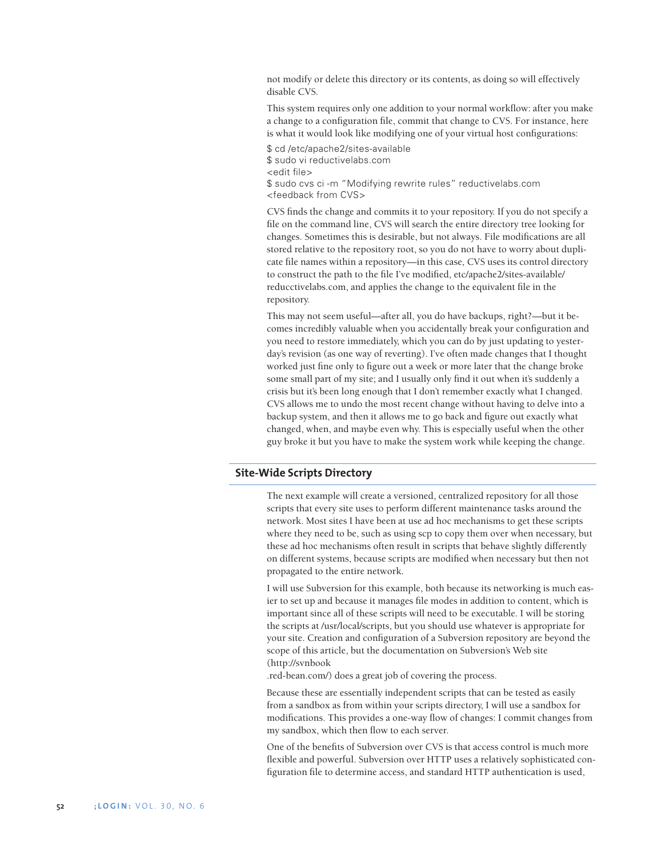not modify or delete this directory or its contents, as doing so will effectively disable CVS.

This system requires only one addition to your normal workflow: after you make a change to a configuration file, commit that change to CVS. For instance, here is what it would look like modifying one of your virtual host configurations:

\$ cd /etc/apache2/sites-available \$ sudo vi reductivelabs.com <edit file> \$ sudo cvs ci -m "Modifying rewrite rules" reductivelabs.com <feedback from CVS>

CVS finds the change and commits it to your repository. If you do not specify a file on the command line, CVS will search the entire directory tree looking for changes. Sometimes this is desirable, but not always. File modifications are all stored relative to the repository root, so you do not have to worry about duplicate file names within a repository—in this case, CVS uses its control directory to construct the path to the file I've modified, etc/apache2/sites-available/ reducctivelabs.com, and applies the change to the equivalent file in the repository.

This may not seem useful—after all, you do have backups, right?—but it becomes incredibly valuable when you accidentally break your configuration and you need to restore immediately, which you can do by just updating to yesterday's revision (as one way of reverting). I've often made changes that I thought worked just fine only to figure out a week or more later that the change broke some small part of my site; and I usually only find it out when it's suddenly a crisis but it's been long enough that I don't remember exactly what I changed. CVS allows me to undo the most recent change without having to delve into a backup system, and then it allows me to go back and figure out exactly what changed, when, and maybe even why. This is especially useful when the other guy broke it but you have to make the system work while keeping the change.

#### **Site-Wide Scripts Directory**

The next example will create a versioned, centralized repository for all those scripts that every site uses to perform different maintenance tasks around the network. Most sites I have been at use ad hoc mechanisms to get these scripts where they need to be, such as using scp to copy them over when necessary, but these ad hoc mechanisms often result in scripts that behave slightly differently on different systems, because scripts are modified when necessary but then not propagated to the entire network.

I will use Subversion for this example, both because its networking is much easier to set up and because it manages file modes in addition to content, which is important since all of these scripts will need to be executable. I will be storing the scripts at /usr/local/scripts, but you should use whatever is appropriate for your site. Creation and configuration of a Subversion repository are beyond the scope of this article, but the documentation on Subversion's Web site (http://svnbook

.red-bean.com/) does a great job of covering the process.

Because these are essentially independent scripts that can be tested as easily from a sandbox as from within your scripts directory, I will use a sandbox for modifications. This provides a one-way flow of changes: I commit changes from my sandbox, which then flow to each server.

One of the benefits of Subversion over CVS is that access control is much more flexible and powerful. Subversion over HTTP uses a relatively sophisticated configuration file to determine access, and standard HTTP authentication is used,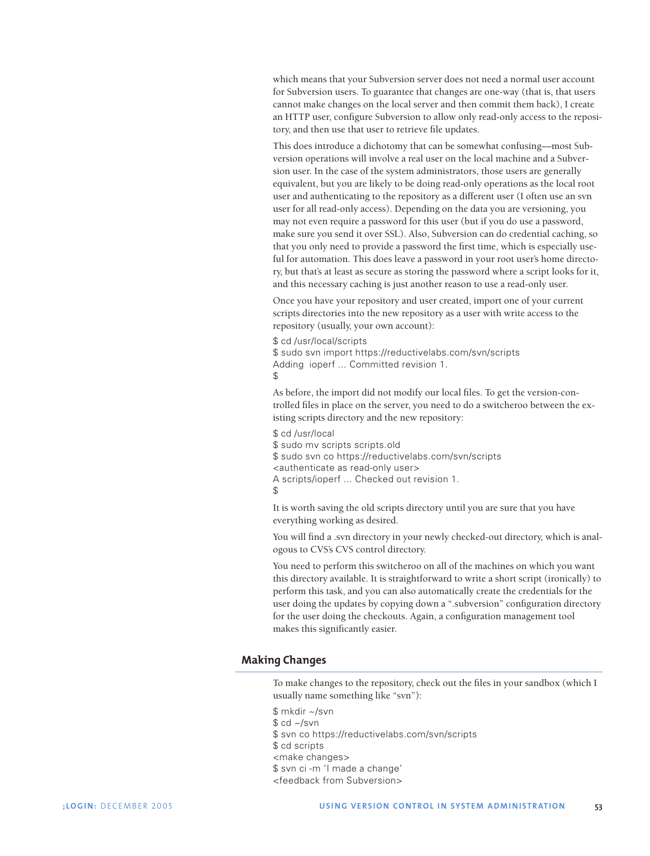which means that your Subversion server does not need a normal user account for Subversion users. To guarantee that changes are one-way (that is, that users cannot make changes on the local server and then commit them back), I create an HTTP user, configure Subversion to allow only read-only access to the repository, and then use that user to retrieve file updates.

This does introduce a dichotomy that can be somewhat confusing—most Subversion operations will involve a real user on the local machine and a Subversion user. In the case of the system administrators, those users are generally equivalent, but you are likely to be doing read-only operations as the local root user and authenticating to the repository as a different user (I often use an svn user for all read-only access). Depending on the data you are versioning, you may not even require a password for this user (but if you do use a password, make sure you send it over SSL). Also, Subversion can do credential caching, so that you only need to provide a password the first time, which is especially useful for automation. This does leave a password in your root user's home directory, but that's at least as secure as storing the password where a script looks for it, and this necessary caching is just another reason to use a read-only user.

Once you have your repository and user created, import one of your current scripts directories into the new repository as a user with write access to the repository (usually, your own account):

\$ cd /usr/local/scripts \$ sudo svn import https://reductivelabs.com/svn/scripts Adding ioperf ... Committed revision 1. \$

As before, the import did not modify our local files. To get the version-controlled files in place on the server, you need to do a switcheroo between the existing scripts directory and the new repository:

\$ cd /usr/local \$ sudo mv scripts scripts.old \$ sudo svn co https://reductivelabs.com/svn/scripts <authenticate as read-only user> A scripts/ioperf ... Checked out revision 1. \$

It is worth saving the old scripts directory until you are sure that you have everything working as desired.

You will find a .svn directory in your newly checked-out directory, which is analogous to CVS's CVS control directory.

You need to perform this switcheroo on all of the machines on which you want this directory available. It is straightforward to write a short script (ironically) to perform this task, and you can also automatically create the credentials for the user doing the updates by copying down a ".subversion" configuration directory for the user doing the checkouts. Again, a configuration management tool makes this significantly easier.

## **Making Changes**

To make changes to the repository, check out the files in your sandbox (which I usually name something like "svn"):

- \$ mkdir ~/svn
- $$ cd \sim /svn$
- \$ svn co https://reductivelabs.com/svn/scripts
- \$ cd scripts
- <make changes>
- \$ svn ci -m 'I made a change'
- <feedback from Subversion>